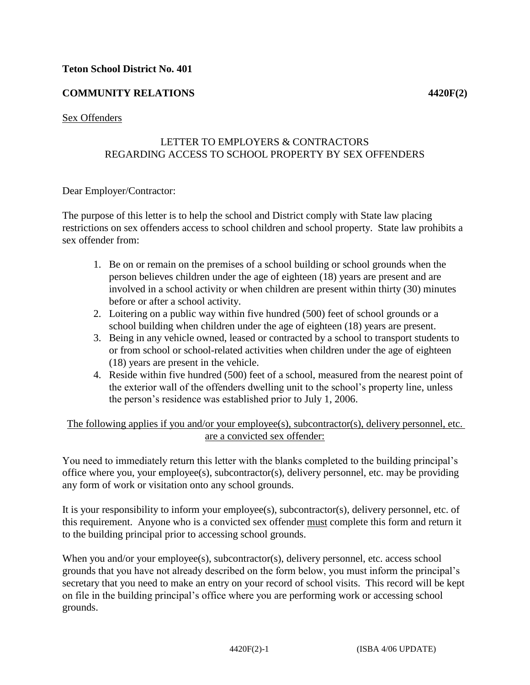# **COMMUNITY RELATIONS 4420F(2)**

### Sex Offenders

## LETTER TO EMPLOYERS & CONTRACTORS REGARDING ACCESS TO SCHOOL PROPERTY BY SEX OFFENDERS

#### Dear Employer/Contractor:

The purpose of this letter is to help the school and District comply with State law placing restrictions on sex offenders access to school children and school property. State law prohibits a sex offender from:

- 1. Be on or remain on the premises of a school building or school grounds when the person believes children under the age of eighteen (18) years are present and are involved in a school activity or when children are present within thirty (30) minutes before or after a school activity.
- 2. Loitering on a public way within five hundred (500) feet of school grounds or a school building when children under the age of eighteen (18) years are present.
- 3. Being in any vehicle owned, leased or contracted by a school to transport students to or from school or school-related activities when children under the age of eighteen (18) years are present in the vehicle.
- 4. Reside within five hundred (500) feet of a school, measured from the nearest point of the exterior wall of the offenders dwelling unit to the school's property line, unless the person's residence was established prior to July 1, 2006.

### The following applies if you and/or your employee(s), subcontractor(s), delivery personnel, etc. are a convicted sex offender:

You need to immediately return this letter with the blanks completed to the building principal's office where you, your employee(s), subcontractor(s), delivery personnel, etc. may be providing any form of work or visitation onto any school grounds.

It is your responsibility to inform your employee(s), subcontractor(s), delivery personnel, etc. of this requirement. Anyone who is a convicted sex offender must complete this form and return it to the building principal prior to accessing school grounds.

When you and/or your employee(s), subcontractor(s), delivery personnel, etc. access school grounds that you have not already described on the form below, you must inform the principal's secretary that you need to make an entry on your record of school visits. This record will be kept on file in the building principal's office where you are performing work or accessing school grounds.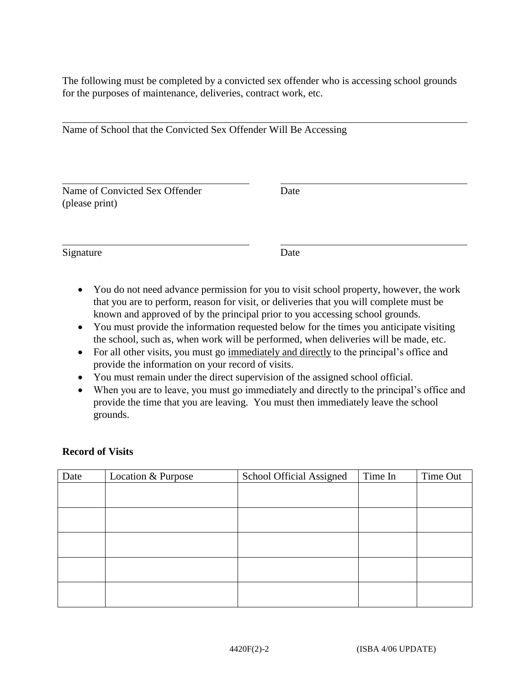The following must be completed by a convicted sex offender who is accessing school grounds for the purposes of maintenance, deliveries, contract work, etc.

| Name of School that the Convicted Sex Offender Will Be Accessing |  |
|------------------------------------------------------------------|--|
|------------------------------------------------------------------|--|

Name of Convicted Sex Offender Date (please print)

Signature Date

 $\overline{a}$ 

 $\overline{a}$ 

 $\overline{a}$ 

- You do not need advance permission for you to visit school property, however, the work that you are to perform, reason for visit, or deliveries that you will complete must be known and approved of by the principal prior to you accessing school grounds.
- You must provide the information requested below for the times you anticipate visiting the school, such as, when work will be performed, when deliveries will be made, etc.
- For all other visits, you must go immediately and directly to the principal's office and provide the information on your record of visits.
- You must remain under the direct supervision of the assigned school official.
- When you are to leave, you must go immediately and directly to the principal's office and provide the time that you are leaving. You must then immediately leave the school grounds.

## **Record of Visits**

| Date | Location & Purpose | School Official Assigned | Time In | Time Out |
|------|--------------------|--------------------------|---------|----------|
|      |                    |                          |         |          |
|      |                    |                          |         |          |
|      |                    |                          |         |          |
|      |                    |                          |         |          |
|      |                    |                          |         |          |
|      |                    |                          |         |          |
|      |                    |                          |         |          |
|      |                    |                          |         |          |
|      |                    |                          |         |          |
|      |                    |                          |         |          |